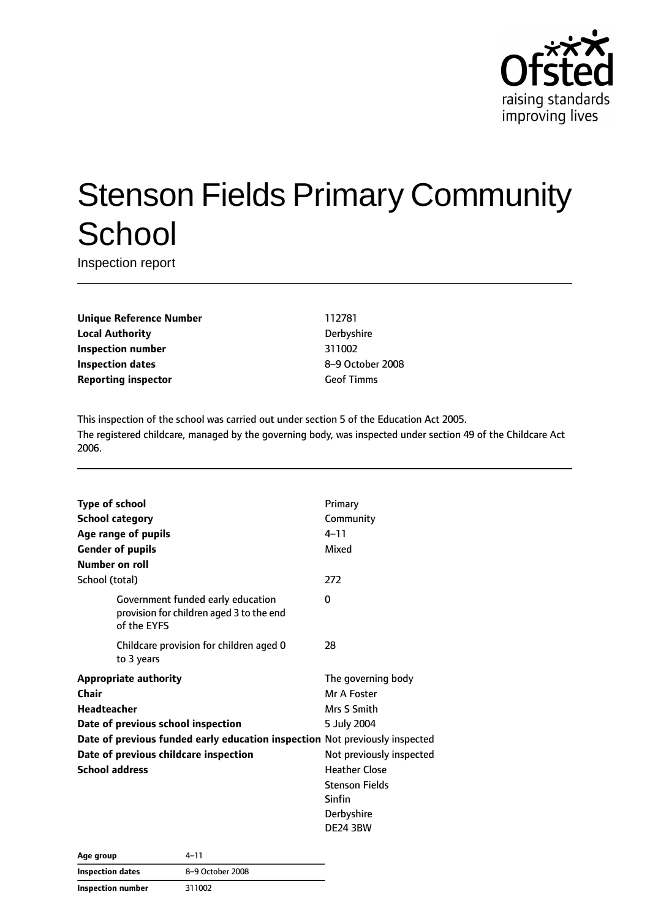

# Stenson Fields Primary Community **School**

Inspection report

**Unique Reference Number** 112781 **Local Authority** Derbyshire **Inspection number** 311002 **Inspection dates** 8–9 October 2008 **Reporting inspector** Geof Timms

This inspection of the school was carried out under section 5 of the Education Act 2005. The registered childcare, managed by the governing body, was inspected under section 49 of the Childcare Act 2006.

| <b>Type of school</b>                                                       |                                                                                              | Primary                  |
|-----------------------------------------------------------------------------|----------------------------------------------------------------------------------------------|--------------------------|
| <b>School category</b>                                                      |                                                                                              | Community                |
|                                                                             | Age range of pupils                                                                          | $4 - 11$                 |
| <b>Gender of pupils</b>                                                     |                                                                                              | Mixed                    |
| Number on roll                                                              |                                                                                              |                          |
| School (total)                                                              |                                                                                              | 272                      |
|                                                                             | Government funded early education<br>provision for children aged 3 to the end<br>of the EYFS | 0                        |
|                                                                             | Childcare provision for children aged 0<br>to 3 years                                        | 28                       |
|                                                                             | <b>Appropriate authority</b>                                                                 | The governing body       |
| Chair                                                                       |                                                                                              | Mr A Foster              |
| <b>Headteacher</b>                                                          |                                                                                              | Mrs S Smith              |
|                                                                             | Date of previous school inspection                                                           | 5 July 2004              |
| Date of previous funded early education inspection Not previously inspected |                                                                                              |                          |
|                                                                             | Date of previous childcare inspection                                                        | Not previously inspected |
| <b>School address</b>                                                       |                                                                                              | <b>Heather Close</b>     |
|                                                                             |                                                                                              | <b>Stenson Fields</b>    |
|                                                                             |                                                                                              | Sinfin                   |
|                                                                             |                                                                                              | Derbyshire               |
|                                                                             |                                                                                              | <b>DE24 3BW</b>          |

| Age group               | 4–11             |
|-------------------------|------------------|
| <b>Inspection dates</b> | 8-9 October 2008 |
| Inspection number       | 311002           |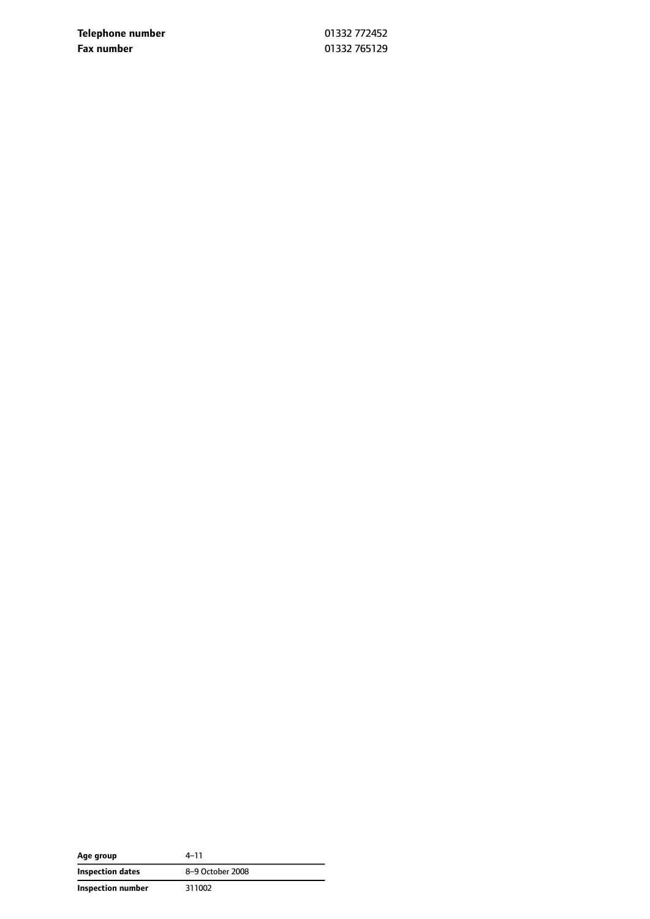**Telephone number** 01332 772452 **Fax number** 01332 765129

| Age group         | 4–11             |
|-------------------|------------------|
| Inspection dates  | 8-9 October 2008 |
| Inspection number | 311002           |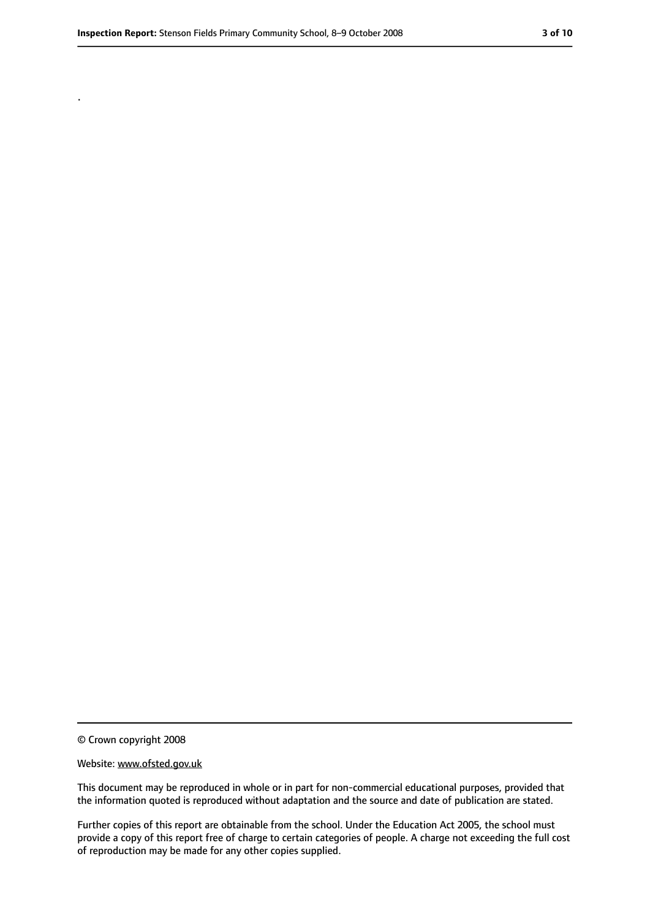.

<sup>©</sup> Crown copyright 2008

Website: www.ofsted.gov.uk

This document may be reproduced in whole or in part for non-commercial educational purposes, provided that the information quoted is reproduced without adaptation and the source and date of publication are stated.

Further copies of this report are obtainable from the school. Under the Education Act 2005, the school must provide a copy of this report free of charge to certain categories of people. A charge not exceeding the full cost of reproduction may be made for any other copies supplied.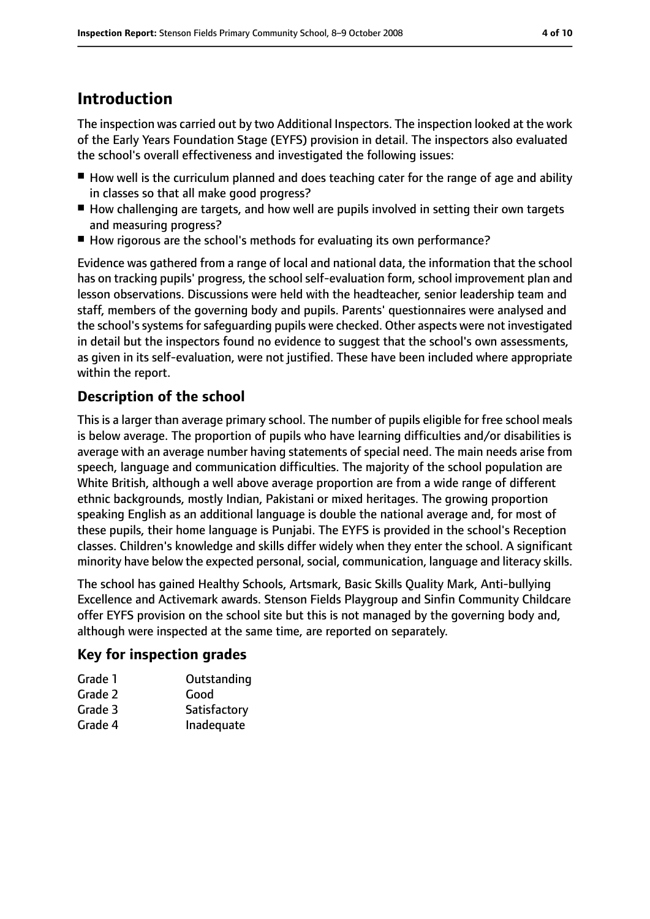# **Introduction**

The inspection was carried out by two Additional Inspectors. The inspection looked at the work of the Early Years Foundation Stage (EYFS) provision in detail. The inspectors also evaluated the school's overall effectiveness and investigated the following issues:

- How well is the curriculum planned and does teaching cater for the range of age and ability in classes so that all make good progress?
- How challenging are targets, and how well are pupils involved in setting their own targets and measuring progress?
- How rigorous are the school's methods for evaluating its own performance?

Evidence was gathered from a range of local and national data, the information that the school has on tracking pupils' progress, the school self-evaluation form, school improvement plan and lesson observations. Discussions were held with the headteacher, senior leadership team and staff, members of the governing body and pupils. Parents' questionnaires were analysed and the school's systems for safeguarding pupils were checked. Other aspects were not investigated in detail but the inspectors found no evidence to suggest that the school's own assessments, as given in its self-evaluation, were not justified. These have been included where appropriate within the report.

# **Description of the school**

This is a larger than average primary school. The number of pupils eligible for free school meals is below average. The proportion of pupils who have learning difficulties and/or disabilities is average with an average number having statements of special need. The main needs arise from speech, language and communication difficulties. The majority of the school population are White British, although a well above average proportion are from a wide range of different ethnic backgrounds, mostly Indian, Pakistani or mixed heritages. The growing proportion speaking English as an additional language is double the national average and, for most of these pupils, their home language is Punjabi. The EYFS is provided in the school's Reception classes. Children's knowledge and skills differ widely when they enter the school. A significant minority have below the expected personal, social, communication, language and literacy skills.

The school has gained Healthy Schools, Artsmark, Basic Skills Quality Mark, Anti-bullying Excellence and Activemark awards. Stenson Fields Playgroup and Sinfin Community Childcare offer EYFS provision on the school site but this is not managed by the governing body and, although were inspected at the same time, are reported on separately.

#### **Key for inspection grades**

| Grade 1 | Outstanding  |
|---------|--------------|
| Grade 2 | Good         |
| Grade 3 | Satisfactory |
| Grade 4 | Inadequate   |
|         |              |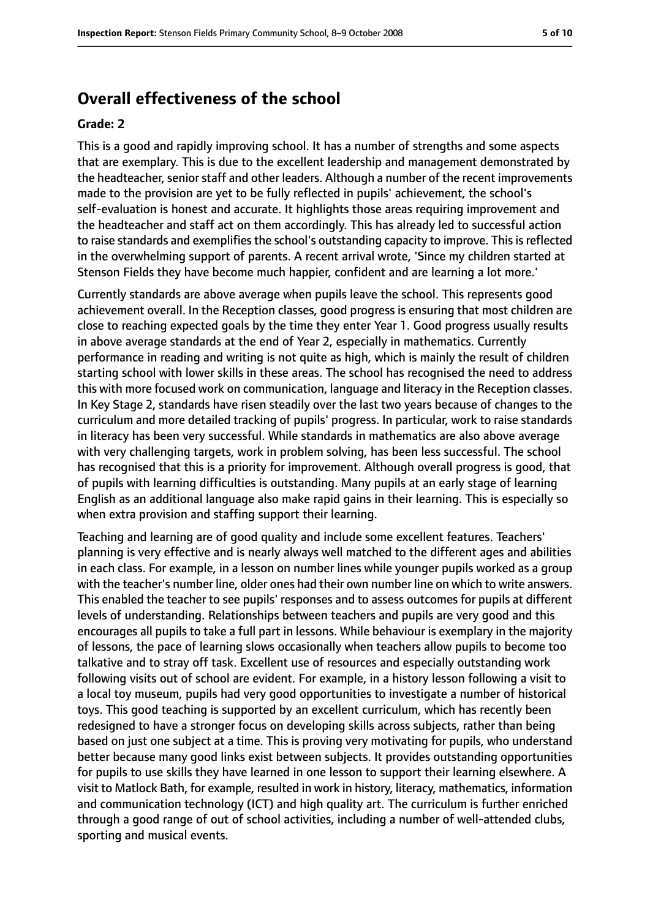#### **Overall effectiveness of the school**

#### **Grade: 2**

This is a good and rapidly improving school. It has a number of strengths and some aspects that are exemplary. This is due to the excellent leadership and management demonstrated by the headteacher, senior staff and other leaders. Although a number of the recent improvements made to the provision are yet to be fully reflected in pupils' achievement, the school's self-evaluation is honest and accurate. It highlights those areas requiring improvement and the headteacher and staff act on them accordingly. This has already led to successful action to raise standards and exemplifies the school's outstanding capacity to improve. This is reflected in the overwhelming support of parents. A recent arrival wrote, 'Since my children started at Stenson Fields they have become much happier, confident and are learning a lot more.'

Currently standards are above average when pupils leave the school. This represents good achievement overall. In the Reception classes, good progress is ensuring that most children are close to reaching expected goals by the time they enter Year 1. Good progress usually results in above average standards at the end of Year 2, especially in mathematics. Currently performance in reading and writing is not quite as high, which is mainly the result of children starting school with lower skills in these areas. The school has recognised the need to address this with more focused work on communication, language and literacy in the Reception classes. In Key Stage 2, standards have risen steadily over the last two years because of changes to the curriculum and more detailed tracking of pupils' progress. In particular, work to raise standards in literacy has been very successful. While standards in mathematics are also above average with very challenging targets, work in problem solving, has been less successful. The school has recognised that this is a priority for improvement. Although overall progress is good, that of pupils with learning difficulties is outstanding. Many pupils at an early stage of learning English as an additional language also make rapid gains in their learning. This is especially so when extra provision and staffing support their learning.

Teaching and learning are of good quality and include some excellent features. Teachers' planning is very effective and is nearly always well matched to the different ages and abilities in each class. For example, in a lesson on number lines while younger pupils worked as a group with the teacher's number line, older ones had their own number line on which to write answers. This enabled the teacher to see pupils' responses and to assess outcomes for pupils at different levels of understanding. Relationships between teachers and pupils are very good and this encourages all pupils to take a full part in lessons. While behaviour is exemplary in the majority of lessons, the pace of learning slows occasionally when teachers allow pupils to become too talkative and to stray off task. Excellent use of resources and especially outstanding work following visits out of school are evident. For example, in a history lesson following a visit to a local toy museum, pupils had very good opportunities to investigate a number of historical toys. This good teaching is supported by an excellent curriculum, which has recently been redesigned to have a stronger focus on developing skills across subjects, rather than being based on just one subject at a time. This is proving very motivating for pupils, who understand better because many good links exist between subjects. It provides outstanding opportunities for pupils to use skills they have learned in one lesson to support their learning elsewhere. A visit to Matlock Bath, for example, resulted in work in history, literacy, mathematics, information and communication technology (ICT) and high quality art. The curriculum is further enriched through a good range of out of school activities, including a number of well-attended clubs, sporting and musical events.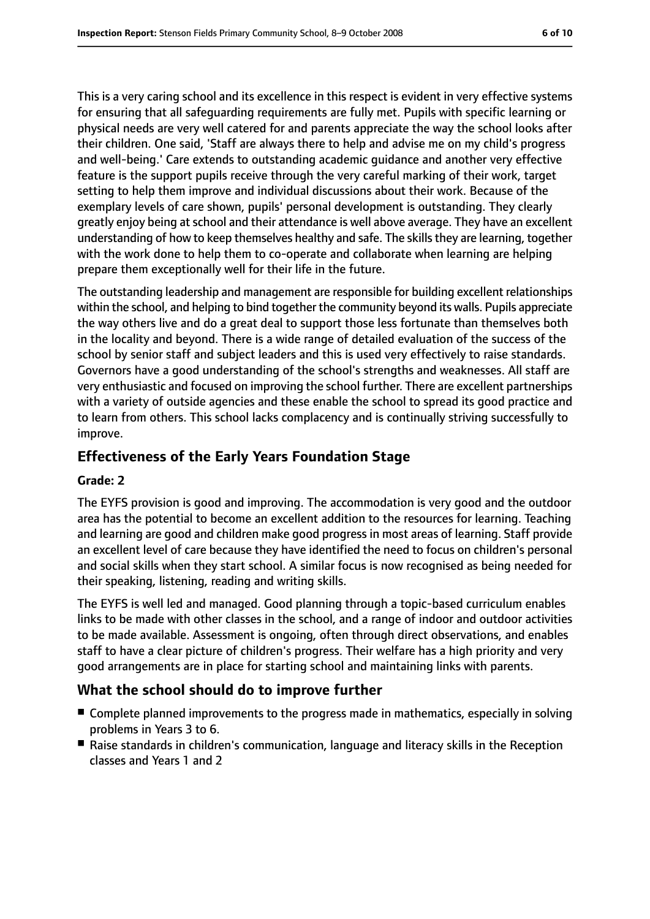This is a very caring school and its excellence in this respect is evident in very effective systems for ensuring that all safeguarding requirements are fully met. Pupils with specific learning or physical needs are very well catered for and parents appreciate the way the school looks after their children. One said, 'Staff are always there to help and advise me on my child's progress and well-being.' Care extends to outstanding academic guidance and another very effective feature is the support pupils receive through the very careful marking of their work, target setting to help them improve and individual discussions about their work. Because of the exemplary levels of care shown, pupils' personal development is outstanding. They clearly greatly enjoy being at school and their attendance is well above average. They have an excellent understanding of how to keep themselves healthy and safe. The skillsthey are learning, together with the work done to help them to co-operate and collaborate when learning are helping prepare them exceptionally well for their life in the future.

The outstanding leadership and management are responsible for building excellent relationships within the school, and helping to bind together the community beyond its walls. Pupils appreciate the way others live and do a great deal to support those less fortunate than themselves both in the locality and beyond. There is a wide range of detailed evaluation of the success of the school by senior staff and subject leaders and this is used very effectively to raise standards. Governors have a good understanding of the school's strengths and weaknesses. All staff are very enthusiastic and focused on improving the school further. There are excellent partnerships with a variety of outside agencies and these enable the school to spread its good practice and to learn from others. This school lacks complacency and is continually striving successfully to improve.

#### **Effectiveness of the Early Years Foundation Stage**

#### **Grade: 2**

The EYFS provision is good and improving. The accommodation is very good and the outdoor area has the potential to become an excellent addition to the resources for learning. Teaching and learning are good and children make good progress in most areas of learning. Staff provide an excellent level of care because they have identified the need to focus on children's personal and social skills when they start school. A similar focus is now recognised as being needed for their speaking, listening, reading and writing skills.

The EYFS is well led and managed. Good planning through a topic-based curriculum enables links to be made with other classes in the school, and a range of indoor and outdoor activities to be made available. Assessment is ongoing, often through direct observations, and enables staff to have a clear picture of children's progress. Their welfare has a high priority and very good arrangements are in place for starting school and maintaining links with parents.

#### **What the school should do to improve further**

- Complete planned improvements to the progress made in mathematics, especially in solving problems in Years 3 to 6.
- Raise standards in children's communication, language and literacy skills in the Reception classes and Years 1 and 2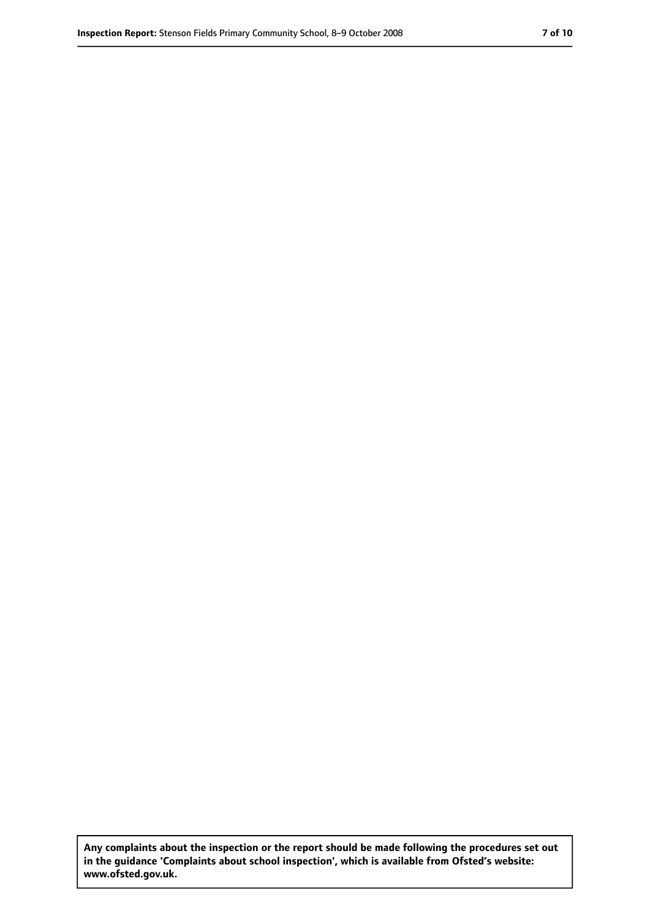**Any complaints about the inspection or the report should be made following the procedures set out in the guidance 'Complaints about school inspection', which is available from Ofsted's website: www.ofsted.gov.uk.**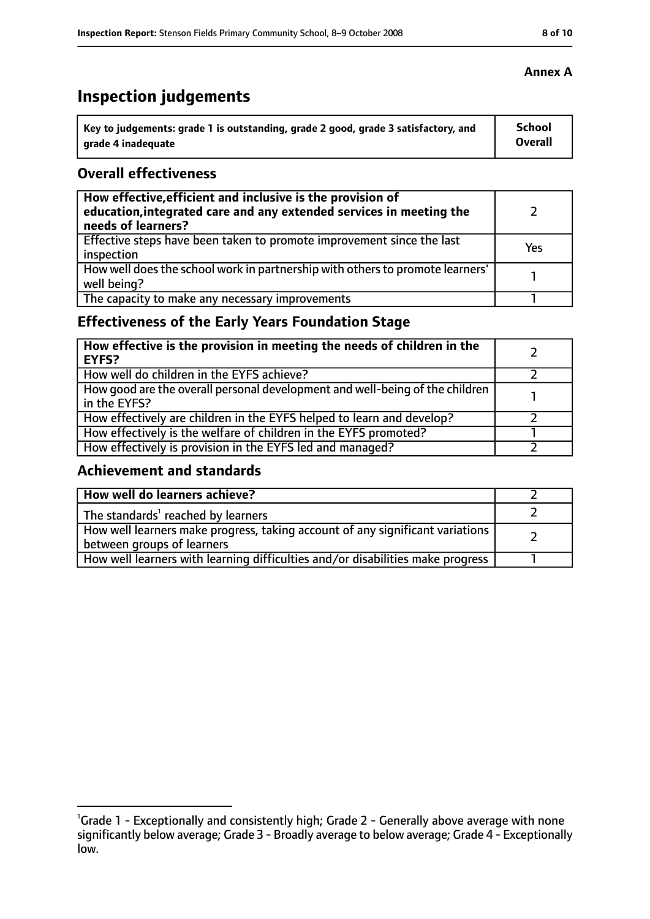# **Inspection judgements**

| Key to judgements: grade 1 is outstanding, grade 2 good, grade 3 satisfactory, and | <b>School</b>  |
|------------------------------------------------------------------------------------|----------------|
| arade 4 inadequate                                                                 | <b>Overall</b> |

#### **Overall effectiveness**

| How effective, efficient and inclusive is the provision of<br>education, integrated care and any extended services in meeting the<br>needs of learners? |     |
|---------------------------------------------------------------------------------------------------------------------------------------------------------|-----|
| Effective steps have been taken to promote improvement since the last<br>inspection                                                                     | Yes |
| How well does the school work in partnership with others to promote learners'<br>well being?                                                            |     |
| The capacity to make any necessary improvements                                                                                                         |     |

# **Effectiveness of the Early Years Foundation Stage**

| How effective is the provision in meeting the needs of children in the<br><b>EYFS?</b>       |  |
|----------------------------------------------------------------------------------------------|--|
| How well do children in the EYFS achieve?                                                    |  |
| How good are the overall personal development and well-being of the children<br>in the EYFS? |  |
| How effectively are children in the EYFS helped to learn and develop?                        |  |
| How effectively is the welfare of children in the EYFS promoted?                             |  |
| How effectively is provision in the EYFS led and managed?                                    |  |

#### **Achievement and standards**

| How well do learners achieve?                                                                               |  |
|-------------------------------------------------------------------------------------------------------------|--|
| The standards <sup>1</sup> reached by learners                                                              |  |
| How well learners make progress, taking account of any significant variations<br>between groups of learners |  |
| How well learners with learning difficulties and/or disabilities make progress                              |  |

<sup>&</sup>lt;sup>1</sup>Grade 1 - Exceptionally and consistently high; Grade 2 - Generally above average with none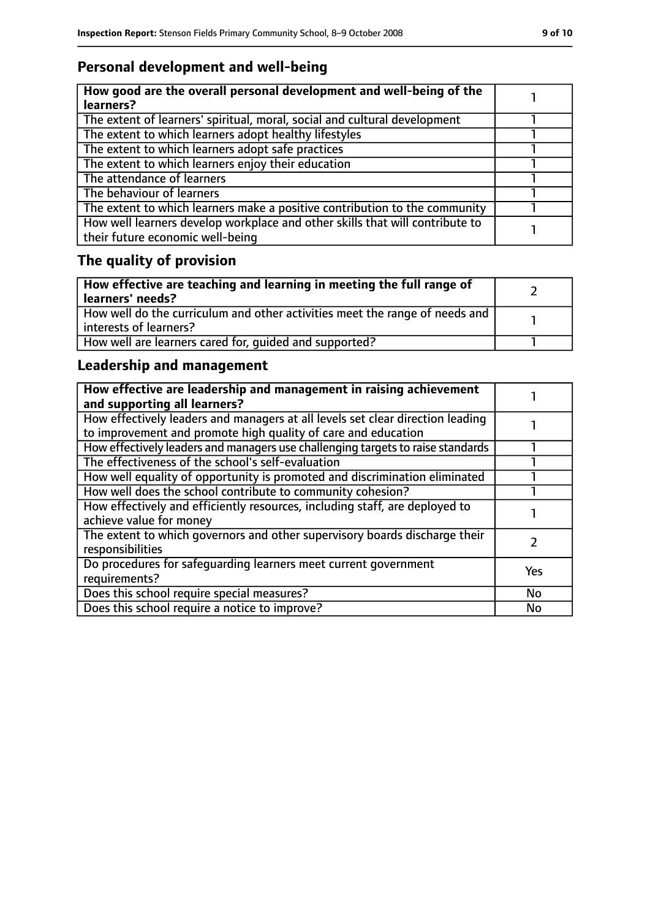# **Personal development and well-being**

| How good are the overall personal development and well-being of the<br>learners?                                 |  |
|------------------------------------------------------------------------------------------------------------------|--|
| The extent of learners' spiritual, moral, social and cultural development                                        |  |
| The extent to which learners adopt healthy lifestyles                                                            |  |
| The extent to which learners adopt safe practices                                                                |  |
| The extent to which learners enjoy their education                                                               |  |
| The attendance of learners                                                                                       |  |
| The behaviour of learners                                                                                        |  |
| The extent to which learners make a positive contribution to the community                                       |  |
| How well learners develop workplace and other skills that will contribute to<br>their future economic well-being |  |

# **The quality of provision**

| How effective are teaching and learning in meeting the full range of<br>learners' needs?              |  |
|-------------------------------------------------------------------------------------------------------|--|
| How well do the curriculum and other activities meet the range of needs and<br>interests of learners? |  |
| How well are learners cared for, quided and supported?                                                |  |

# **Leadership and management**

| How effective are leadership and management in raising achievement<br>and supporting all learners?                                              |               |
|-------------------------------------------------------------------------------------------------------------------------------------------------|---------------|
| How effectively leaders and managers at all levels set clear direction leading<br>to improvement and promote high quality of care and education |               |
| How effectively leaders and managers use challenging targets to raise standards                                                                 |               |
| The effectiveness of the school's self-evaluation                                                                                               |               |
| How well equality of opportunity is promoted and discrimination eliminated                                                                      |               |
| How well does the school contribute to community cohesion?                                                                                      |               |
| How effectively and efficiently resources, including staff, are deployed to<br>achieve value for money                                          |               |
| The extent to which governors and other supervisory boards discharge their<br>responsibilities                                                  | $\mathcal{P}$ |
| Do procedures for safeguarding learners meet current government<br>requirements?                                                                | Yes           |
| Does this school require special measures?                                                                                                      | <b>No</b>     |
| Does this school require a notice to improve?                                                                                                   | No            |